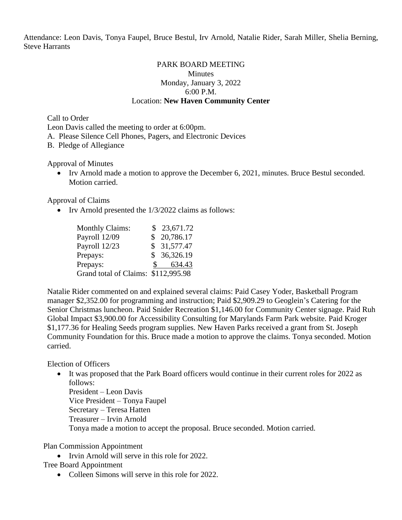Attendance: Leon Davis, Tonya Faupel, Bruce Bestul, Irv Arnold, Natalie Rider, Sarah Miller, Shelia Berning, Steve Harrants

### PARK BOARD MEETING **Minutes** Monday, January 3, 2022 6:00 P.M. Location: **New Haven Community Center**

Call to Order

Leon Davis called the meeting to order at 6:00pm.

A. Please Silence Cell Phones, Pagers, and Electronic Devices

B. Pledge of Allegiance

Approval of Minutes

• Irv Arnold made a motion to approve the December 6, 2021, minutes. Bruce Bestul seconded. Motion carried.

Approval of Claims

• Irv Arnold presented the 1/3/2022 claims as follows:

| <b>Monthly Claims:</b>              | \$23,671.72 |
|-------------------------------------|-------------|
| Payroll 12/09                       | \$20,786.17 |
| Payroll 12/23                       | \$31,577.47 |
| Prepays:                            | \$36,326.19 |
| Prepays:                            | 634.43      |
| Grand total of Claims: \$112,995.98 |             |

Natalie Rider commented on and explained several claims: Paid Casey Yoder, Basketball Program manager \$2,352.00 for programming and instruction; Paid \$2,909.29 to Geoglein's Catering for the Senior Christmas luncheon. Paid Snider Recreation \$1,146.00 for Community Center signage. Paid Ruh Global Impact \$3,900.00 for Accessibility Consulting for Marylands Farm Park website. Paid Kroger \$1,177.36 for Healing Seeds program supplies. New Haven Parks received a grant from St. Joseph Community Foundation for this. Bruce made a motion to approve the claims. Tonya seconded. Motion carried.

Election of Officers

• It was proposed that the Park Board officers would continue in their current roles for 2022 as follows:

President – Leon Davis Vice President – Tonya Faupel Secretary – Teresa Hatten Treasurer – Irvin Arnold Tonya made a motion to accept the proposal. Bruce seconded. Motion carried.

Plan Commission Appointment

• Irvin Arnold will serve in this role for 2022.

# Tree Board Appointment

• Colleen Simons will serve in this role for 2022.